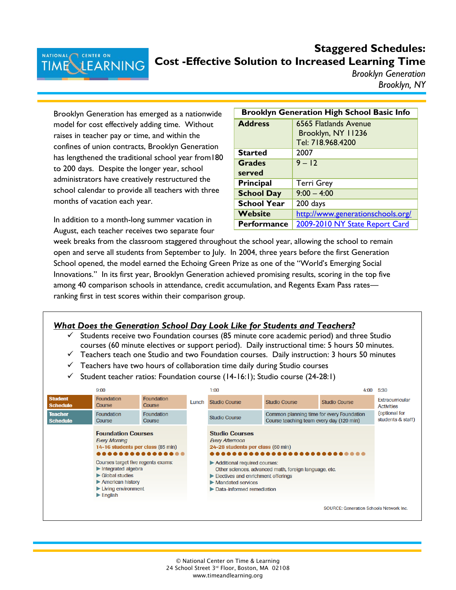## **Staggered Schedules: Cost -Effective Solution to Increased Learning Time**

*Brooklyn Generation Brooklyn, NY*

Brooklyn Generation has emerged as a nationwide model for cost effectively adding time. Without raises in teacher pay or time, and within the confines of union contracts, Brooklyn Generation has lengthened the traditional school year from180 to 200 days. Despite the longer year, school administrators have creatively restructured the school calendar to provide all teachers with three months of vacation each year.

In addition to a month-long summer vacation in August, each teacher receives two separate four

| <b>Brooklyn Generation High School Basic Info</b> |                                   |  |  |  |  |
|---------------------------------------------------|-----------------------------------|--|--|--|--|
| <b>Address</b>                                    | 6565 Flatlands Avenue             |  |  |  |  |
|                                                   | Brooklyn, NY 11236                |  |  |  |  |
|                                                   | Tel: 718.968.4200                 |  |  |  |  |
| <b>Started</b>                                    | 2007                              |  |  |  |  |
| <b>Grades</b>                                     | $9 - 12$                          |  |  |  |  |
| served                                            |                                   |  |  |  |  |
| <b>Principal</b>                                  | <b>Terri Grey</b>                 |  |  |  |  |
| <b>School Day</b>                                 | $9:00 - 4:00$                     |  |  |  |  |
| <b>School Year</b>                                | 200 days                          |  |  |  |  |
| Website                                           | http://www.generationschools.org/ |  |  |  |  |
| <b>Performance</b>                                | 2009-2010 NY State Report Card    |  |  |  |  |

week breaks from the classroom staggered throughout the school year, allowing the school to remain open and serve all students from September to July. In 2004, three years before the first Generation School opened, the model earned the Echoing Green Prize as one of the "World's Emerging Social Innovations." In its first year, Brooklyn Generation achieved promising results, scoring in the top five among 40 comparison schools in attendance, credit accumulation, and Regents Exam Pass rates ranking first in test scores within their comparison group.



- $\checkmark$  Students receive two Foundation courses (85 minute core academic period) and three Studio courses (60 minute electives or support period). Daily instructional time: 5 hours 50 minutes.
- $\checkmark$  Teachers teach one Studio and two Foundation courses. Daily instruction: 3 hours 50 minutes
- $\checkmark$  Teachers have two hours of collaboration time daily during Studio courses
- $\checkmark$  Student teacher ratios: Foundation course (14-16:1); Studio course (24-28:1)

|                                   | 9:00                                                                                                                                                                                                                                          |                             |       | 1:00                                                                                                                 |                                                                                       | 4:00                                           | 5:30                                        |
|-----------------------------------|-----------------------------------------------------------------------------------------------------------------------------------------------------------------------------------------------------------------------------------------------|-----------------------------|-------|----------------------------------------------------------------------------------------------------------------------|---------------------------------------------------------------------------------------|------------------------------------------------|---------------------------------------------|
| <b>Student</b><br><b>Schedule</b> | <b>Foundation</b><br>Course                                                                                                                                                                                                                   | <b>Foundation</b><br>Course | Lunch | <b>Studio Course</b>                                                                                                 | <b>Studio Course</b>                                                                  | <b>Studio Course</b>                           | <b>Extracurricular</b><br><b>Activities</b> |
| <b>Teacher</b><br><b>Schedule</b> | <b>Foundation</b><br>Course                                                                                                                                                                                                                   | <b>Foundation</b><br>Course |       | <b>Studio Course</b>                                                                                                 | Common planning time for every Foundation<br>Course teaching team every day (120 min) |                                                | (optional for<br>students & staff)          |
|                                   | <b>Foundation Courses</b><br><b>Every Morning</b><br>14-16 students per class (85 min)                                                                                                                                                        | .                           |       | <b>Studio Courses</b><br><b>Every Afternoon</b><br>24-28 students per class (60 min)                                 |                                                                                       |                                                |                                             |
|                                   | Courses target five regents exams:<br>$\blacktriangleright$ Integrated algebra<br>$\blacktriangleright$ Global studies<br>$\blacktriangleright$ American history<br>$\blacktriangleright$ Living environment<br>$\blacktriangleright$ English |                             |       | Additional required courses:<br>Electives and enrichment offerings<br>Mandated services<br>Data-informed remediation | Other sciences, advanced math, foreign language, etc.                                 |                                                |                                             |
|                                   |                                                                                                                                                                                                                                               |                             |       |                                                                                                                      |                                                                                       | <b>SOURCE: Generation Schools Network Inc.</b> |                                             |